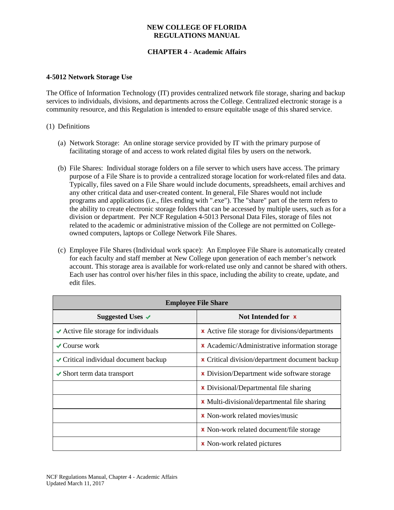## **NEW COLLEGE OF FLORIDA REGULATIONS MANUAL**

# **CHAPTER 4 - Academic Affairs**

#### **4-5012 Network Storage Use**

The Office of Information Technology (IT) provides centralized network file storage, sharing and backup services to individuals, divisions, and departments across the College. Centralized electronic storage is a community resource, and this Regulation is intended to ensure equitable usage of this shared service.

#### (1) Definitions

- (a) Network Storage: An online storage service provided by IT with the primary purpose of facilitating storage of and access to work related digital files by users on the network.
- (b) File Shares: Individual storage folders on a file server to which users have access. The primary purpose of a File Share is to provide a centralized storage location for work-related files and data. Typically, files saved on a File Share would include documents, spreadsheets, email archives and any other critical data and user-created content. In general, File Shares would not include programs and applications (i.e., files ending with ".exe"). The "share" part of the term refers to the ability to create electronic storage folders that can be accessed by multiple users, such as for a division or department. Per NCF Regulation 4-5013 Personal Data Files, storage of files not related to the academic or administrative mission of the College are not permitted on Collegeowned computers, laptops or College Network File Shares.
- (c) Employee File Shares (Individual work space): An Employee File Share is automatically created for each faculty and staff member at New College upon generation of each member's network account. This storage area is available for work-related use only and cannot be shared with others. Each user has control over his/her files in this space, including the ability to create, update, and edit files.

| <b>Employee File Share</b>                                |                                                        |
|-----------------------------------------------------------|--------------------------------------------------------|
| Suggested Uses $\checkmark$                               | Not Intended for <b>x</b>                              |
| $\blacktriangleright$ Active file storage for individuals | <b>x</b> Active file storage for divisions/departments |
| $\sqrt{\frac{1}{2}}$ Course work                          | <b>x</b> Academic/Administrative information storage   |
| $\blacktriangleright$ Critical individual document backup | <b>x</b> Critical division/department document backup  |
| $\blacktriangleright$ Short term data transport           | <b>x</b> Division/Department wide software storage     |
|                                                           | <b>x</b> Divisional/Departmental file sharing          |
|                                                           | <b>x</b> Multi-divisional/departmental file sharing    |
|                                                           | <b>x</b> Non-work related movies/music                 |
|                                                           | <b>x</b> Non-work related document/file storage        |
|                                                           | <b>x</b> Non-work related pictures                     |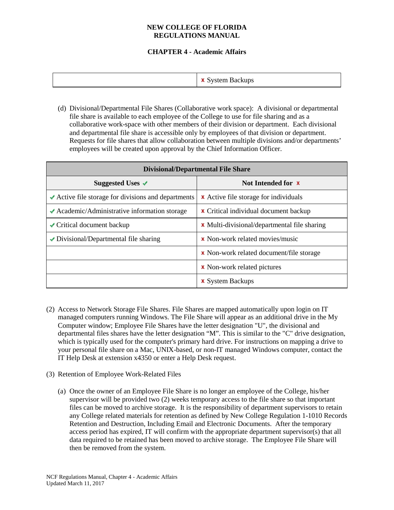## **NEW COLLEGE OF FLORIDA REGULATIONS MANUAL**

# **CHAPTER 4 - Academic Affairs**

| $\mathbf{v}$<br>System Backups<br>◡ |
|-------------------------------------|
|-------------------------------------|

(d) Divisional/Departmental File Shares (Collaborative work space): A divisional or departmental file share is available to each employee of the College to use for file sharing and as a collaborative work-space with other members of their division or department. Each divisional and departmental file share is accessible only by employees of that division or department. Requests for file shares that allow collaboration between multiple divisions and/or departments' employees will be created upon approval by the Chief Information Officer.

| <b>Divisional/Departmental File Share</b>                               |                                                     |
|-------------------------------------------------------------------------|-----------------------------------------------------|
| Suggested Uses $\checkmark$                                             | Not Intended for <b>x</b>                           |
| $\blacktriangleright$ Active file storage for divisions and departments | <b>x</b> Active file storage for individuals        |
| $\blacktriangleright$ Academic/Administrative information storage       | <b>x</b> Critical individual document backup        |
| $\sqrt{\frac{1}{100}}$ Critical document backup                         | <b>x</b> Multi-divisional/departmental file sharing |
| $\blacktriangleright$ Divisional/Departmental file sharing              | <b>x</b> Non-work related movies/music              |
|                                                                         | <b>x</b> Non-work related document/file storage     |
|                                                                         | <b>x</b> Non-work related pictures                  |
|                                                                         | <b>x</b> System Backups                             |

- (2) Access to Network Storage File Shares. File Shares are mapped automatically upon login on IT managed computers running Windows. The File Share will appear as an additional drive in the My Computer window; Employee File Shares have the letter designation "U", the divisional and departmental files shares have the letter designation "M". This is similar to the "C" drive designation, which is typically used for the computer's primary hard drive. For instructions on mapping a drive to your personal file share on a Mac, UNIX-based, or non-IT managed Windows computer, contact the IT Help Desk at extension x4350 or enter a Help Desk request.
- (3) Retention of Employee Work-Related Files
	- (a) Once the owner of an Employee File Share is no longer an employee of the College, his/her supervisor will be provided two (2) weeks temporary access to the file share so that important files can be moved to archive storage. It is the responsibility of department supervisors to retain any College related materials for retention as defined by New College Regulation 1-1010 Records Retention and Destruction, Including Email and Electronic Documents. After the temporary access period has expired, IT will confirm with the appropriate department supervisor(s) that all data required to be retained has been moved to archive storage. The Employee File Share will then be removed from the system.